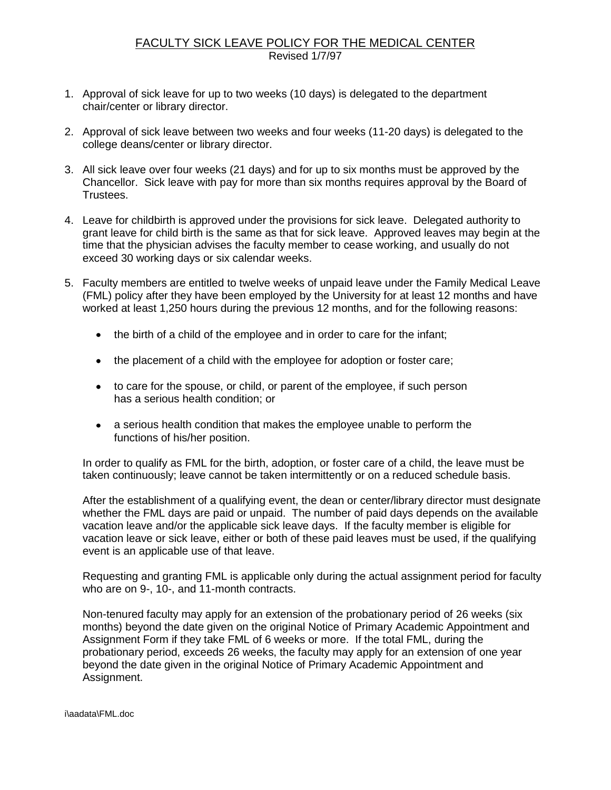## FACULTY SICK LEAVE POLICY FOR THE MEDICAL CENTER Revised 1/7/97

- 1. Approval of sick leave for up to two weeks (10 days) is delegated to the department chair/center or library director.
- 2. Approval of sick leave between two weeks and four weeks (11-20 days) is delegated to the college deans/center or library director.
- 3. All sick leave over four weeks (21 days) and for up to six months must be approved by the Chancellor. Sick leave with pay for more than six months requires approval by the Board of Trustees.
- 4. Leave for childbirth is approved under the provisions for sick leave. Delegated authority to grant leave for child birth is the same as that for sick leave. Approved leaves may begin at the time that the physician advises the faculty member to cease working, and usually do not exceed 30 working days or six calendar weeks.
- 5. Faculty members are entitled to twelve weeks of unpaid leave under the Family Medical Leave (FML) policy after they have been employed by the University for at least 12 months and have worked at least 1,250 hours during the previous 12 months, and for the following reasons:
	- the birth of a child of the employee and in order to care for the infant;
	- the placement of a child with the employee for adoption or foster care;
	- to care for the spouse, or child, or parent of the employee, if such person has a serious health condition; or
	- a serious health condition that makes the employee unable to perform the functions of his/her position.

In order to qualify as FML for the birth, adoption, or foster care of a child, the leave must be taken continuously; leave cannot be taken intermittently or on a reduced schedule basis.

After the establishment of a qualifying event, the dean or center/library director must designate whether the FML days are paid or unpaid. The number of paid days depends on the available vacation leave and/or the applicable sick leave days. If the faculty member is eligible for vacation leave or sick leave, either or both of these paid leaves must be used, if the qualifying event is an applicable use of that leave.

Requesting and granting FML is applicable only during the actual assignment period for faculty who are on 9-, 10-, and 11-month contracts.

Non-tenured faculty may apply for an extension of the probationary period of 26 weeks (six months) beyond the date given on the original Notice of Primary Academic Appointment and Assignment Form if they take FML of 6 weeks or more. If the total FML, during the probationary period, exceeds 26 weeks, the faculty may apply for an extension of one year beyond the date given in the original Notice of Primary Academic Appointment and Assignment.